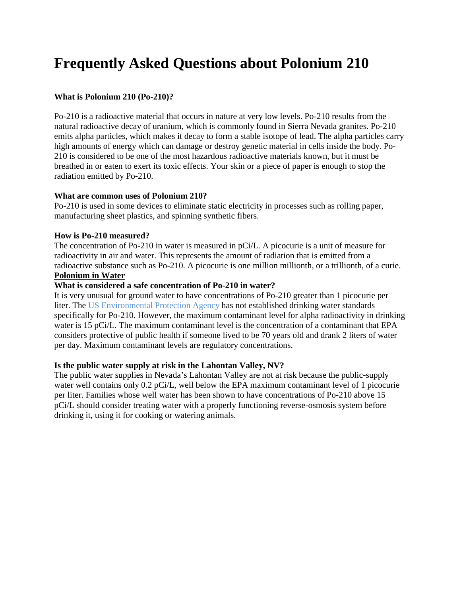# **Frequently Asked Questions about Polonium 210**

# **What is Polonium 210 (Po-210)?**

Po-210 is a radioactive material that occurs in nature at very low levels. Po-210 results from the natural radioactive decay of uranium, which is commonly found in Sierra Nevada granites. Po-210 emits alpha particles, which makes it decay to form a stable isotope of lead. The alpha particles carry high amounts of energy which can damage or destroy genetic material in cells inside the body. Po-210 is considered to be one of the most hazardous radioactive materials known, but it must be breathed in or eaten to exert its toxic effects. Your skin or a piece of paper is enough to stop the radiation emitted by Po-210.

### **What are common uses of Polonium 210?**

Po-210 is used in some devices to eliminate static electricity in processes such as rolling paper, manufacturing sheet plastics, and spinning synthetic fibers.

# **How is Po-210 measured?**

The concentration of Po-210 in water is measured in pCi/L. A picocurie is a unit of measure for radioactivity in air and water. This represents the amount of radiation that is emitted from a radioactive substance such as Po-210. A picocurie is one million millionth, or a trillionth, of a curie. **Polonium in Water** 

### **What is considered a safe concentration of Po-210 in water?**

It is very unusual for ground water to have concentrations of Po-210 greater than 1 picocurie per liter. The US Environmental Protection Agency has not established drinking water standards specifically for Po-210. However, the maximum contaminant level for alpha radioactivity in drinking water is 15 pCi/L. The maximum contaminant level is the concentration of a contaminant that EPA considers protective of public health if someone lived to be 70 years old and drank 2 liters of water per day. Maximum contaminant levels are regulatory concentrations.

# **Is the public water supply at risk in the Lahontan Valley, NV?**

The public water supplies in Nevada's Lahontan Valley are not at risk because the public-supply water well contains only 0.2 pCi/L, well below the EPA maximum contaminant level of 1 picocurie per liter. Families whose well water has been shown to have concentrations of Po-210 above 15 pCi/L should consider treating water with a properly functioning reverse-osmosis system before drinking it, using it for cooking or watering animals.